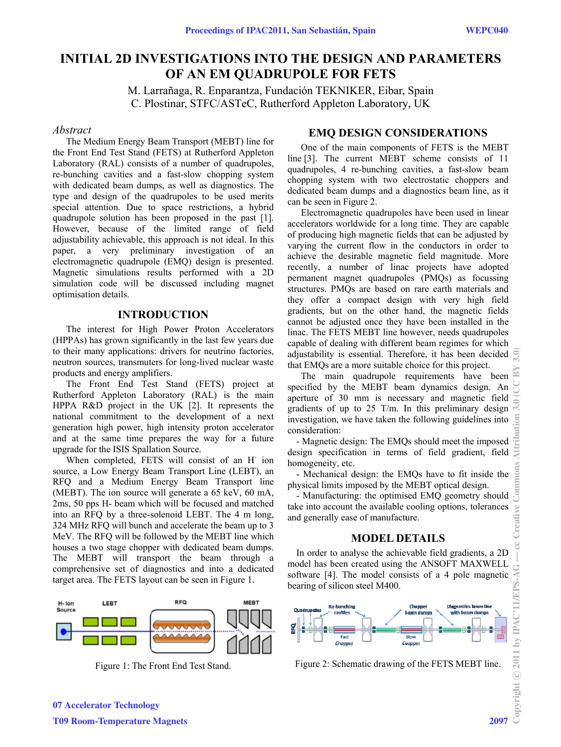# **INITIAL 2D INVESTIGATIONS INTO THE DESIGN AND PARAMETERS** OF AN EM OUADRUPOLE FOR FETS

M. Larrañaga, R. Enparantza, Fundación TEKNIKER, Eibar, Spain C. Plostinar, STFC/ASTeC, Rutherford Appleton Laboratory, UK

#### Abstract

The Medium Energy Beam Transport (MEBT) line for the Front End Test Stand (FETS) at Rutherford Appleton Laboratory (RAL) consists of a number of quadrupoles, re-bunching cavities and a fast-slow chopping system with dedicated beam dumps, as well as diagnostics. The type and design of the quadrupoles to be used merits special attention. Due to space restrictions, a hybrid quadrupole solution has been proposed in the past [1]. However, because of the limited range of field adjustability achievable, this approach is not ideal. In this paper, a very preliminary investigation of an electromagnetic quadrupole (EMO) design is presented. Magnetic simulations results performed with a 2D simulation code will be discussed including magnet optimisation details.

#### **INTRODUCTION**

The interest for High Power Proton Accelerators (HPPAs) has grown significantly in the last few years due to their many applications: drivers for neutrino factories, neutron sources, transmuters for long-lived nuclear waste products and energy amplifiers.

The Front End Test Stand (FETS) project at Rutherford Appleton Laboratory (RAL) is the main HPPA  $R&D$  project in the UK [2]. It represents the national commitment to the development of a next generation high power, high intensity proton accelerator and at the same time prepares the way for a future upgrade for the ISIS Spallation Source.

When completed, FETS will consist of an H ion source, a Low Energy Beam Transport Line (LEBT), an RFQ and a Medium Energy Beam Transport line (MEBT). The ion source will generate a  $65 \text{ keV}$ ,  $60 \text{ mA}$ , 2ms, 50 pps H- beam which will be focused and matched into an RFQ by a three-solenoid LEBT. The 4 m long, 324 MHz RFQ will bunch and accelerate the beam up to 3 MeV. The RFQ will be followed by the MEBT line which houses a two stage chopper with dedicated beam dumps. The MEBT will transport the beam through a comprehensive set of diagnostics and into a dedicated target area. The FETS layout can be seen in Figure 1.



Figure 1: The Front End Test Stand.

### **EMO DESIGN CONSIDERATIONS**

One of the main components of FETS is the MEBT line [3]. The current MEBT scheme consists of 11 quadrupoles, 4 re-bunching cavities, a fast-slow beam chopping system with two electrostatic choppers and dedicated beam dumps and a diagnostics beam line, as it can be seen in Figure 2.

Electromagnetic quadrupoles have been used in linear accelerators worldwide for a long time. They are capable of producing high magnetic fields that can be adjusted by varying the current flow in the conductors in order to achieve the desirable magnetic field magnitude. More recently, a number of linac projects have adopted permanent magnet quadrupoles (PMQs) as focussing structures. PMQs are based on rare earth materials and they offer a compact design with very high field gradients, but on the other hand, the magnetic fields cannot be adjusted once they have been installed in the linac. The FETS MEBT line however, needs quadrupoles capable of dealing with different beam regimes for which adjustability is essential. Therefore, it has been decided that EMQs are a more suitable choice for this project.

The main quadrupole requirements have been specified by the MEBT beam dynamics design. An aperture of 30 mm is necessary and magnetic field gradients of up to 25 T/m. In this preliminary design investigation, we have taken the following guidelines into consideration:

- Magnetic design: The EMQs should meet the imposed  $\frac{1}{2}$ <br>ssign specification in terms of field gradient, field design specification in terms of field gradient, field homogeneity, etc.

- Mechanical design: the EMQs have to fit inside the physical limits imposed by the MEBT optical design.

- Manufacturing: the optimised EMO geometry should take into account the available cooling options, tolerances and generally ease of manufacture.

#### **MODEL DETAILS**

In order to analyse the achievable field gradients, a 2D model has been created using the ANSOFT MAXWELL software [4]. The model consists of a 4 pole magnetic bearing of silicon steel M400.



Figure 2: Schematic drawing of the FETS MEBT line.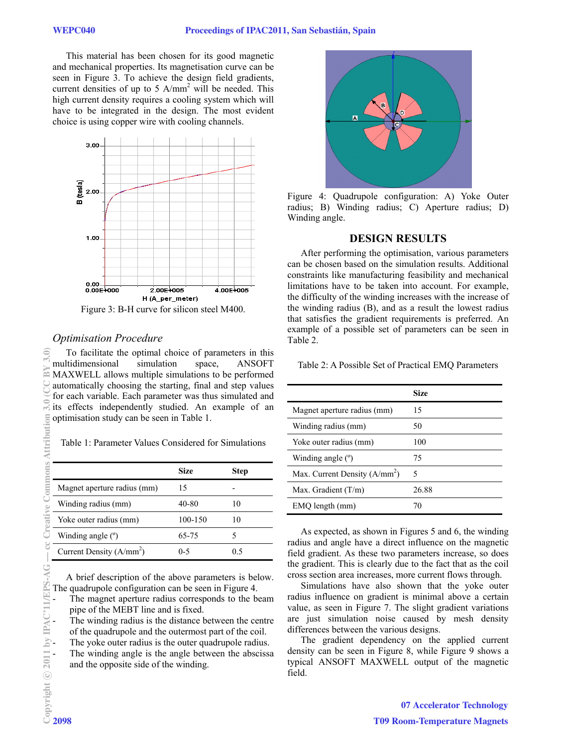This material has been chosen for its good magnetic and mechanical properties. Its magnetisation curve can be seen in Figure 3. To achieve the design field gradients, current densities of up to 5  $A/mm^2$  will be needed. This high current density requires a cooling system which will have to be integrated in the design. The most evident choice is using copper wire with cooling channels.



Figure 3: B-H curve for silicon steel M400.

### *Optimisation Procedure*

To facilitate the optimal choice of parameters in this multidimensional simulation space, ANSOFT MAXWELL allows multiple simulations to be performed automatically choosing the starting, final and step values for each variable. Each parameter was thus simulated and its effects independently studied. An example of an optimisation study can be seen in Table 1.

Table 1: Parameter Values Considered for Simulations

|                             | Size    | Step |
|-----------------------------|---------|------|
| Magnet aperture radius (mm) | 15      |      |
| Winding radius (mm)         | 40-80   | 10   |
| Yoke outer radius (mm)      | 100-150 | 10   |
| Winding angle $(°)$         | 65-75   |      |
| Current Density $(A/mm2)$   | $0 - 5$ | 05   |

A brief description of the above parameters is below. The quadrupole configuration can be seen in Figure 4.

The magnet aperture radius corresponds to the beam pipe of the MEBT line and is fixed.

The winding radius is the distance between the centre of the quadrupole and the outermost part of the coil.

The yoke outer radius is the outer quadrupole radius.

The winding angle is the angle between the abscissa and the opposite side of the winding.



Figure 4: Quadrupole configuration: A) Yoke Outer radius; B) Winding radius; C) Aperture radius; D) Winding angle.

#### **DESIGN RESULTS**

After performing the optimisation, various parameters can be chosen based on the simulation results. Additional constraints like manufacturing feasibility and mechanical limitations have to be taken into account. For example, the difficulty of the winding increases with the increase of the winding radius (B), and as a result the lowest radius that satisfies the gradient requirements is preferred. An example of a possible set of parameters can be seen in Table 2.

Table 2: A Possible Set of Practical EMQ Parameters

|                                | <b>Size</b> |
|--------------------------------|-------------|
| Magnet aperture radius (mm)    | 15          |
| Winding radius (mm)            | 50          |
| Yoke outer radius (mm)         | 100         |
| Winding angle $(°)$            | 75          |
| Max. Current Density $(A/mm2)$ | 5           |
| Max. Gradient $(T/m)$          | 26.88       |
| EMQ length (mm)                | 70          |

As expected, as shown in Figures 5 and 6, the winding radius and angle have a direct influence on the magnetic field gradient. As these two parameters increase, so does the gradient. This is clearly due to the fact that as the coil cross section area increases, more current flows through.

Simulations have also shown that the yoke outer radius influence on gradient is minimal above a certain value, as seen in Figure 7. The slight gradient variations are just simulation noise caused by mesh density differences between the various designs.

The gradient dependency on the applied current density can be seen in Figure 8, while Figure 9 shows a typical ANSOFT MAXWELL output of the magnetic field.